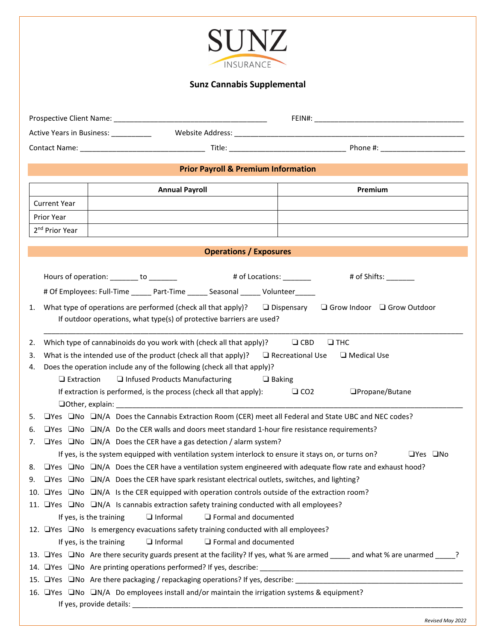## **SUNZ** INSURANCE

## **Sunz Cannabis Supplemental**

|                                                                                                                 |                                                                                                                              |                                                                                                                                                                                                                               | Active Years in Business: __________                                                                                             |  |  |  |  |  |  |
|-----------------------------------------------------------------------------------------------------------------|------------------------------------------------------------------------------------------------------------------------------|-------------------------------------------------------------------------------------------------------------------------------------------------------------------------------------------------------------------------------|----------------------------------------------------------------------------------------------------------------------------------|--|--|--|--|--|--|
|                                                                                                                 |                                                                                                                              |                                                                                                                                                                                                                               |                                                                                                                                  |  |  |  |  |  |  |
|                                                                                                                 |                                                                                                                              |                                                                                                                                                                                                                               | <b>Prior Payroll &amp; Premium Information</b>                                                                                   |  |  |  |  |  |  |
|                                                                                                                 |                                                                                                                              |                                                                                                                                                                                                                               | <b>Annual Payroll</b><br>Premium                                                                                                 |  |  |  |  |  |  |
| <b>Current Year</b>                                                                                             |                                                                                                                              |                                                                                                                                                                                                                               |                                                                                                                                  |  |  |  |  |  |  |
| <b>Prior Year</b>                                                                                               |                                                                                                                              |                                                                                                                                                                                                                               |                                                                                                                                  |  |  |  |  |  |  |
| 2 <sup>nd</sup> Prior Year                                                                                      |                                                                                                                              |                                                                                                                                                                                                                               |                                                                                                                                  |  |  |  |  |  |  |
|                                                                                                                 |                                                                                                                              |                                                                                                                                                                                                                               | <b>Operations / Exposures</b>                                                                                                    |  |  |  |  |  |  |
|                                                                                                                 |                                                                                                                              |                                                                                                                                                                                                                               |                                                                                                                                  |  |  |  |  |  |  |
|                                                                                                                 |                                                                                                                              |                                                                                                                                                                                                                               | Hours of operation: ______ to ______<br># of Locations: _________<br># of Shifts: $\_\_$                                         |  |  |  |  |  |  |
|                                                                                                                 |                                                                                                                              | # Of Employees: Full-Time ______ Part-Time ______ Seasonal ______ Volunteer _____                                                                                                                                             |                                                                                                                                  |  |  |  |  |  |  |
| 1.                                                                                                              |                                                                                                                              | What type of operations are performed (check all that apply)?<br>$\Box$ Dispensary<br>$\Box$ Grow Indoor $\Box$ Grow Outdoor                                                                                                  |                                                                                                                                  |  |  |  |  |  |  |
|                                                                                                                 |                                                                                                                              | If outdoor operations, what type(s) of protective barriers are used?                                                                                                                                                          |                                                                                                                                  |  |  |  |  |  |  |
|                                                                                                                 |                                                                                                                              |                                                                                                                                                                                                                               |                                                                                                                                  |  |  |  |  |  |  |
| 2.                                                                                                              |                                                                                                                              |                                                                                                                                                                                                                               | Which type of cannabinoids do you work with (check all that apply)?<br>$\Box$ CBD<br>$\square$ THC                               |  |  |  |  |  |  |
| 3.<br>4.                                                                                                        |                                                                                                                              | What is the intended use of the product (check all that apply)? $\Box$ Recreational Use<br>$\Box$ Medical Use<br>Does the operation include any of the following (check all that apply)?                                      |                                                                                                                                  |  |  |  |  |  |  |
|                                                                                                                 | $\Box$ Infused Products Manufacturing<br>$\Box$ Extraction<br>$\Box$ Baking                                                  |                                                                                                                                                                                                                               |                                                                                                                                  |  |  |  |  |  |  |
| If extraction is performed, is the process (check all that apply):<br>$\Box$ CO <sub>2</sub><br>□Propane/Butane |                                                                                                                              |                                                                                                                                                                                                                               |                                                                                                                                  |  |  |  |  |  |  |
|                                                                                                                 |                                                                                                                              |                                                                                                                                                                                                                               |                                                                                                                                  |  |  |  |  |  |  |
| 5.                                                                                                              |                                                                                                                              | $\Box$ Yes $\Box$ No $\Box$ N/A Does the Cannabis Extraction Room (CER) meet all Federal and State UBC and NEC codes?                                                                                                         |                                                                                                                                  |  |  |  |  |  |  |
| 6.                                                                                                              |                                                                                                                              | $\Box$ Yes $\Box$ No $\Box$ N/A Do the CER walls and doors meet standard 1-hour fire resistance requirements?                                                                                                                 |                                                                                                                                  |  |  |  |  |  |  |
| 7.                                                                                                              |                                                                                                                              | $\Box$ Yes $\Box$ No $\Box$ N/A Does the CER have a gas detection / alarm system?                                                                                                                                             |                                                                                                                                  |  |  |  |  |  |  |
|                                                                                                                 |                                                                                                                              |                                                                                                                                                                                                                               | If yes, is the system equipped with ventilation system interlock to ensure it stays on, or turns on?<br>$\sqcup$ Yes $\sqcup$ No |  |  |  |  |  |  |
|                                                                                                                 |                                                                                                                              | $\Box$ Yes $\Box$ No $\Box$ N/A Does the CER have a ventilation system engineered with adequate flow rate and exhaust hood?<br>9. OYes ONO ON/A Does the CER have spark resistant electrical outlets, switches, and lighting? |                                                                                                                                  |  |  |  |  |  |  |
|                                                                                                                 |                                                                                                                              |                                                                                                                                                                                                                               | 10. TYes TMo TM/A Is the CER equipped with operation controls outside of the extraction room?                                    |  |  |  |  |  |  |
|                                                                                                                 |                                                                                                                              |                                                                                                                                                                                                                               | 11. The Sample of No Capacity training conducted with all employees?                                                             |  |  |  |  |  |  |
|                                                                                                                 |                                                                                                                              |                                                                                                                                                                                                                               | If yes, is the training<br>$\Box$ Informal<br>$\Box$ Formal and documented                                                       |  |  |  |  |  |  |
|                                                                                                                 |                                                                                                                              |                                                                                                                                                                                                                               | 12. The Same is emergency evacuations safety training conducted with all employees?                                              |  |  |  |  |  |  |
|                                                                                                                 |                                                                                                                              |                                                                                                                                                                                                                               | If yes, is the training<br>$\Box$ Informal<br>$\Box$ Formal and documented                                                       |  |  |  |  |  |  |
|                                                                                                                 | 13. TYes ONo Are there security guards present at the facility? If yes, what % are armed _____ and what % are unarmed _____? |                                                                                                                                                                                                                               |                                                                                                                                  |  |  |  |  |  |  |
|                                                                                                                 |                                                                                                                              |                                                                                                                                                                                                                               |                                                                                                                                  |  |  |  |  |  |  |
|                                                                                                                 |                                                                                                                              |                                                                                                                                                                                                                               |                                                                                                                                  |  |  |  |  |  |  |
|                                                                                                                 |                                                                                                                              |                                                                                                                                                                                                                               | 16. TYes ONO ON/A Do employees install and/or maintain the irrigation systems & equipment?                                       |  |  |  |  |  |  |
|                                                                                                                 |                                                                                                                              |                                                                                                                                                                                                                               |                                                                                                                                  |  |  |  |  |  |  |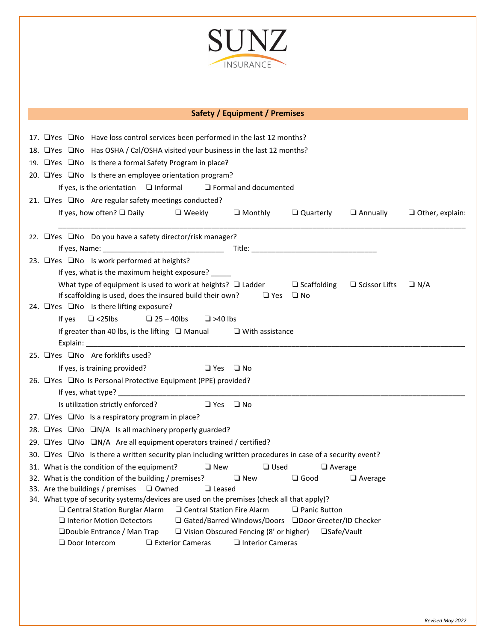

## **Safety / Equipment / Premises**

| 17. OYes ONo Have loss control services been performed in the last 12 months?                          |                                                                                                 |                                 |                      |                                        |  |  |  |
|--------------------------------------------------------------------------------------------------------|-------------------------------------------------------------------------------------------------|---------------------------------|----------------------|----------------------------------------|--|--|--|
| 18. UYes UNo Has OSHA / Cal/OSHA visited your business in the last 12 months?                          |                                                                                                 |                                 |                      |                                        |  |  |  |
| 19. □Yes □No Is there a formal Safety Program in place?                                                |                                                                                                 |                                 |                      |                                        |  |  |  |
| 20. $\Box$ Yes $\Box$ No Is there an employee orientation program?                                     |                                                                                                 |                                 |                      |                                        |  |  |  |
| If yes, is the orientation $\Box$ Informal $\Box$ Formal and documented                                |                                                                                                 |                                 |                      |                                        |  |  |  |
| 21. □Yes □No Are regular safety meetings conducted?                                                    |                                                                                                 |                                 |                      |                                        |  |  |  |
| If yes, how often? $\square$ Daily $\square$ Weekly                                                    |                                                                                                 | $\Box$ Monthly $\Box$ Quarterly |                      | $\Box$ Annually $\Box$ Other, explain: |  |  |  |
| 22. □Yes □No Do you have a safety director/risk manager?                                               |                                                                                                 |                                 |                      |                                        |  |  |  |
|                                                                                                        |                                                                                                 |                                 |                      |                                        |  |  |  |
| 23. □Yes □No Is work performed at heights?                                                             |                                                                                                 |                                 |                      |                                        |  |  |  |
| If yes, what is the maximum height exposure? _____                                                     |                                                                                                 |                                 |                      |                                        |  |  |  |
| What type of equipment is used to work at heights? $\Box$ Ladder                                       |                                                                                                 | $\Box$ Scaffolding              | $\Box$ Scissor Lifts | $\Box$ N/A                             |  |  |  |
| If scaffolding is used, does the insured build their own? $\Box$ Yes $\Box$ No                         |                                                                                                 |                                 |                      |                                        |  |  |  |
| 24. TYes No Is there lifting exposure?                                                                 |                                                                                                 |                                 |                      |                                        |  |  |  |
| $\Box$ <25lbs<br>If yes<br>$\Box$ 25 - 40lbs<br>$\Box$ >40 lbs                                         |                                                                                                 |                                 |                      |                                        |  |  |  |
| If greater than 40 lbs, is the lifting $\Box$ Manual $\Box$ With assistance                            |                                                                                                 |                                 |                      |                                        |  |  |  |
|                                                                                                        |                                                                                                 |                                 |                      |                                        |  |  |  |
| 25. Tyes TNo Are forklifts used?                                                                       |                                                                                                 |                                 |                      |                                        |  |  |  |
| If yes, is training provided?                                                                          | □ Yes □ No                                                                                      |                                 |                      |                                        |  |  |  |
| 26. □Yes □No Is Personal Protective Equipment (PPE) provided?                                          |                                                                                                 |                                 |                      |                                        |  |  |  |
|                                                                                                        |                                                                                                 |                                 |                      |                                        |  |  |  |
| Is utilization strictly enforced? $\Box$ Yes $\Box$ No                                                 |                                                                                                 |                                 |                      |                                        |  |  |  |
| 27. $\Box$ Yes $\Box$ No Is a respiratory program in place?                                            |                                                                                                 |                                 |                      |                                        |  |  |  |
| 28. EYes $\Box$ No $\Box$ N/A Is all machinery properly guarded?                                       |                                                                                                 |                                 |                      |                                        |  |  |  |
| 29. EYes ENo EN/A Are all equipment operators trained / certified?                                     |                                                                                                 |                                 |                      |                                        |  |  |  |
| 30. TYes In Is there a written security plan including written procedures in case of a security event? |                                                                                                 |                                 |                      |                                        |  |  |  |
| $\square$ New<br>31. What is the condition of the equipment?                                           | $\Box$ Used                                                                                     | $\Box$ Average                  |                      |                                        |  |  |  |
| 32. What is the condition of the building / premises? $\Box$ New                                       |                                                                                                 | $\Box$ Good                     | $\Box$ Average       |                                        |  |  |  |
| 33. Are the buildings / premises $\Box$ Owned $\Box$ Leased                                            |                                                                                                 |                                 |                      |                                        |  |  |  |
| 34. What type of security systems/devices are used on the premises (check all that apply)?             |                                                                                                 |                                 |                      |                                        |  |  |  |
| □ Central Station Fire Alarm<br>$\Box$ Central Station Burglar Alarm                                   |                                                                                                 | $\Box$ Panic Button             |                      |                                        |  |  |  |
| $\Box$ Interior Motion Detectors                                                                       | □ Gated/Barred Windows/Doors □Door Greeter/ID Checker<br>Vision Obscured Fencing (8' or higher) | □Safe/Vault                     |                      |                                        |  |  |  |
| □Double Entrance / Man Trap<br>□ Door Intercom<br>$\Box$ Exterior Cameras                              | □ Interior Cameras                                                                              |                                 |                      |                                        |  |  |  |
|                                                                                                        |                                                                                                 |                                 |                      |                                        |  |  |  |
|                                                                                                        |                                                                                                 |                                 |                      |                                        |  |  |  |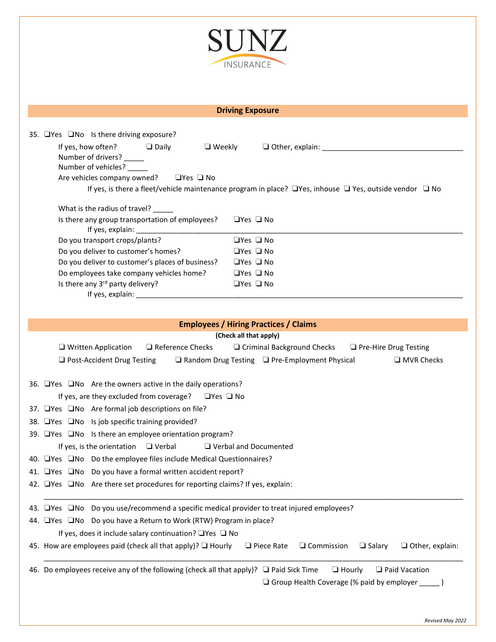

Г

I.

|                                                                                           | <b>Driving Exposure</b>                                                                                                             |  |  |  |  |
|-------------------------------------------------------------------------------------------|-------------------------------------------------------------------------------------------------------------------------------------|--|--|--|--|
|                                                                                           |                                                                                                                                     |  |  |  |  |
|                                                                                           | 35. ⊔Yes ⊔No Is there driving exposure?                                                                                             |  |  |  |  |
|                                                                                           | If yes, how often? $\Box$ Daily<br>Number of drivers? ____                                                                          |  |  |  |  |
|                                                                                           | Number of vehicles?                                                                                                                 |  |  |  |  |
|                                                                                           | Are vehicles company owned?<br>$\square$ Yes $\square$ No                                                                           |  |  |  |  |
|                                                                                           | If yes, is there a fleet/vehicle maintenance program in place? $\Box$ Yes, inhouse $\Box$ Yes, outside vendor $\Box$ No             |  |  |  |  |
|                                                                                           |                                                                                                                                     |  |  |  |  |
|                                                                                           | What is the radius of travel? ____<br>Is there any group transportation of employees?<br>$\Box$ Yes $\Box$ No                       |  |  |  |  |
|                                                                                           |                                                                                                                                     |  |  |  |  |
|                                                                                           | $\Box$ Yes $\Box$ No<br>Do you transport crops/plants?                                                                              |  |  |  |  |
|                                                                                           | Do you deliver to customer's homes?<br>$\Box$ Yes $\Box$ No                                                                         |  |  |  |  |
|                                                                                           | Do you deliver to customer's places of business?<br>$\Box$ Yes $\Box$ No                                                            |  |  |  |  |
|                                                                                           | Do employees take company vehicles home?<br>$\Box$ Yes $\Box$ No                                                                    |  |  |  |  |
|                                                                                           | Is there any 3rd party delivery?<br>$\Box$ Yes $\Box$ No                                                                            |  |  |  |  |
|                                                                                           |                                                                                                                                     |  |  |  |  |
|                                                                                           |                                                                                                                                     |  |  |  |  |
|                                                                                           | <b>Employees / Hiring Practices / Claims</b>                                                                                        |  |  |  |  |
|                                                                                           | (Check all that apply)<br>$\Box$ Written Application<br>Reference Checks<br>□ Criminal Background Checks<br>□ Pre-Hire Drug Testing |  |  |  |  |
|                                                                                           | □ Post-Accident Drug Testing<br>$\Box$ Random Drug Testing $\Box$ Pre-Employment Physical<br>$\Box$ MVR Checks                      |  |  |  |  |
|                                                                                           |                                                                                                                                     |  |  |  |  |
|                                                                                           | 36. $\Box$ Yes $\Box$ No Are the owners active in the daily operations?                                                             |  |  |  |  |
|                                                                                           | If yes, are they excluded from coverage? □ Yes □ No                                                                                 |  |  |  |  |
|                                                                                           | 37. □Yes □No Are formal job descriptions on file?                                                                                   |  |  |  |  |
|                                                                                           | 38. □Yes □No Is job specific training provided?                                                                                     |  |  |  |  |
|                                                                                           | 39. □ Yes □ No Is there an employee orientation program?                                                                            |  |  |  |  |
|                                                                                           | If yes, is the orientation $\Box$ Verbal $\Box$ Verbal and Documented                                                               |  |  |  |  |
|                                                                                           | 40. Thes No Do the employee files include Medical Questionnaires?                                                                   |  |  |  |  |
|                                                                                           | 41. □ Yes □ No Do you have a formal written accident report?                                                                        |  |  |  |  |
|                                                                                           | 42. Only Are there set procedures for reporting claims? If yes, explain:                                                            |  |  |  |  |
|                                                                                           |                                                                                                                                     |  |  |  |  |
| 43. OYes ONo Do you use/recommend a specific medical provider to treat injured employees? |                                                                                                                                     |  |  |  |  |
|                                                                                           | 44. OYes ONo Do you have a Return to Work (RTW) Program in place?                                                                   |  |  |  |  |
|                                                                                           |                                                                                                                                     |  |  |  |  |
|                                                                                           | If yes, does it include salary continuation? $\Box$ Yes $\Box$ No                                                                   |  |  |  |  |

46. Do employees receive any of the following (check all that apply)? ❏ Paid Sick Time ❏ Hourly ❏ Paid Vacation ❏ Group Health Coverage (% paid by employer \_\_\_\_\_ )

*Revised May 2022*